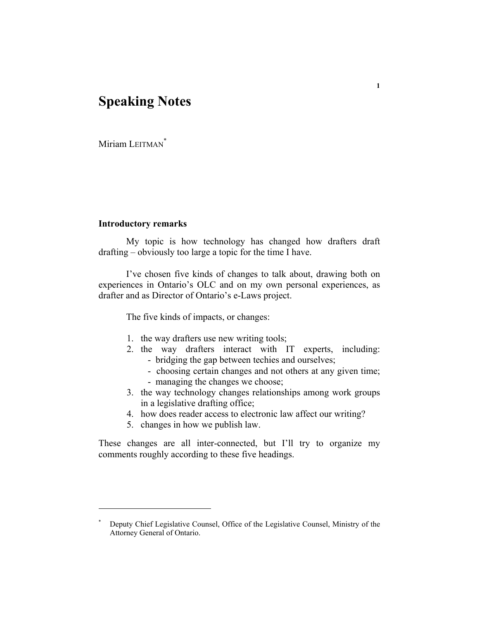# **Speaking Notes**

Miriam LEITMAN<sup>\*</sup>

## **Introductory remarks**

 My topic is how technology has changed how drafters draft drafting – obviously too large a topic for the time I have.

 I've chosen five kinds of changes to talk about, drawing both on experiences in Ontario's OLC and on my own personal experiences, as drafter and as Director of Ontario's e-Laws project.

The five kinds of impacts, or changes:

- 1. the way drafters use new writing tools;
- 2. the way drafters interact with IT experts, including: - bridging the gap between techies and ourselves;
	- choosing certain changes and not others at any given time;
	- managing the changes we choose;
- 3. the way technology changes relationships among work groups in a legislative drafting office;
- 4. how does reader access to electronic law affect our writing?
- 5. changes in how we publish law.

These changes are all inter-connected, but I'll try to organize my comments roughly according to these five headings.

<sup>\*</sup> Deputy Chief Legislative Counsel, Office of the Legislative Counsel, Ministry of the Attorney General of Ontario.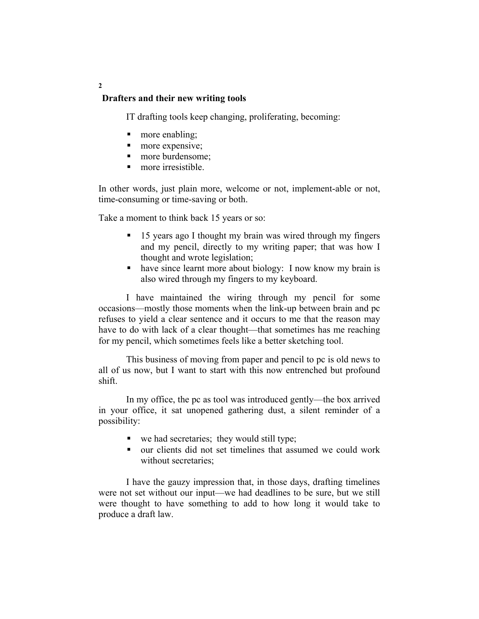## **Drafters and their new writing tools**

IT drafting tools keep changing, proliferating, becoming:

- more enabling;
- **nore** expensive;
- more burdensome:
- **n** more irresistible.

In other words, just plain more, welcome or not, implement-able or not, time-consuming or time-saving or both.

Take a moment to think back 15 years or so:

- 15 years ago I thought my brain was wired through my fingers and my pencil, directly to my writing paper; that was how I thought and wrote legislation;
- have since learnt more about biology: I now know my brain is also wired through my fingers to my keyboard.

 I have maintained the wiring through my pencil for some occasions—mostly those moments when the link-up between brain and pc refuses to yield a clear sentence and it occurs to me that the reason may have to do with lack of a clear thought—that sometimes has me reaching for my pencil, which sometimes feels like a better sketching tool.

 This business of moving from paper and pencil to pc is old news to all of us now, but I want to start with this now entrenched but profound shift.

 In my office, the pc as tool was introduced gently—the box arrived in your office, it sat unopened gathering dust, a silent reminder of a possibility:

- $\blacksquare$  we had secretaries; they would still type;
- our clients did not set timelines that assumed we could work without secretaries;

 I have the gauzy impression that, in those days, drafting timelines were not set without our input—we had deadlines to be sure, but we still were thought to have something to add to how long it would take to produce a draft law.

**2**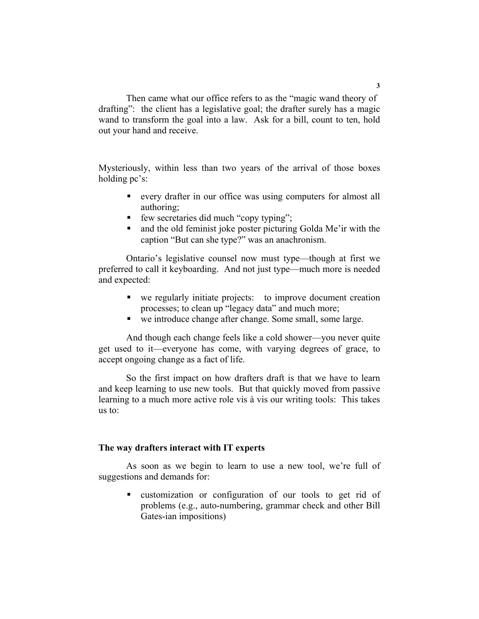Then came what our office refers to as the "magic wand theory of drafting": the client has a legislative goal; the drafter surely has a magic wand to transform the goal into a law. Ask for a bill, count to ten, hold out your hand and receive.

Mysteriously, within less than two years of the arrival of those boxes holding pc's:

- every drafter in our office was using computers for almost all authoring;
- few secretaries did much "copy typing";
- and the old feminist joke poster picturing Golda Me'ir with the caption "But can she type?" was an anachronism.

 Ontario's legislative counsel now must type—though at first we preferred to call it keyboarding. And not just type—much more is needed and expected:

- we regularly initiate projects: to improve document creation processes; to clean up "legacy data" and much more;
- we introduce change after change. Some small, some large.

 And though each change feels like a cold shower—you never quite get used to it—everyone has come, with varying degrees of grace, to accept ongoing change as a fact of life.

 So the first impact on how drafters draft is that we have to learn and keep learning to use new tools. But that quickly moved from passive learning to a much more active role vis à vis our writing tools: This takes us to:

### **The way drafters interact with IT experts**

 As soon as we begin to learn to use a new tool, we're full of suggestions and demands for:

 customization or configuration of our tools to get rid of problems (e.g., auto-numbering, grammar check and other Bill Gates-ian impositions)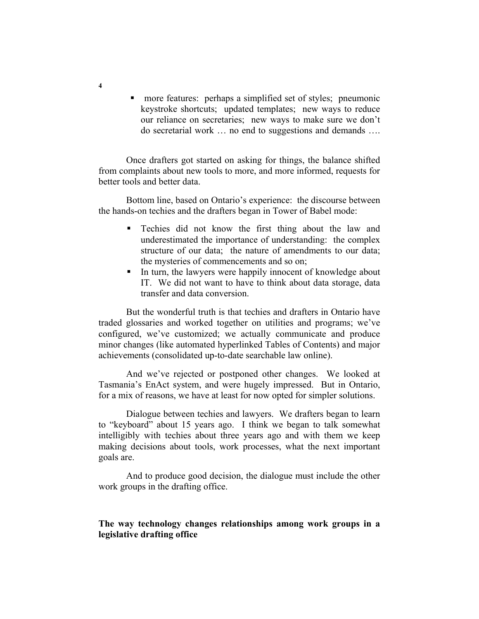**n** more features: perhaps a simplified set of styles; pneumonic keystroke shortcuts; updated templates; new ways to reduce our reliance on secretaries; new ways to make sure we don't do secretarial work … no end to suggestions and demands ….

 Once drafters got started on asking for things, the balance shifted from complaints about new tools to more, and more informed, requests for better tools and better data.

 Bottom line, based on Ontario's experience: the discourse between the hands-on techies and the drafters began in Tower of Babel mode:

- Techies did not know the first thing about the law and underestimated the importance of understanding: the complex structure of our data; the nature of amendments to our data; the mysteries of commencements and so on;
- In turn, the lawyers were happily innocent of knowledge about IT. We did not want to have to think about data storage, data transfer and data conversion.

 But the wonderful truth is that techies and drafters in Ontario have traded glossaries and worked together on utilities and programs; we've configured, we've customized; we actually communicate and produce minor changes (like automated hyperlinked Tables of Contents) and major achievements (consolidated up-to-date searchable law online).

 And we've rejected or postponed other changes. We looked at Tasmania's EnAct system, and were hugely impressed. But in Ontario, for a mix of reasons, we have at least for now opted for simpler solutions.

Dialogue between techies and lawyers. We drafters began to learn to "keyboard" about 15 years ago. I think we began to talk somewhat intelligibly with techies about three years ago and with them we keep making decisions about tools, work processes, what the next important goals are.

 And to produce good decision, the dialogue must include the other work groups in the drafting office.

## **The way technology changes relationships among work groups in a legislative drafting office**

**4**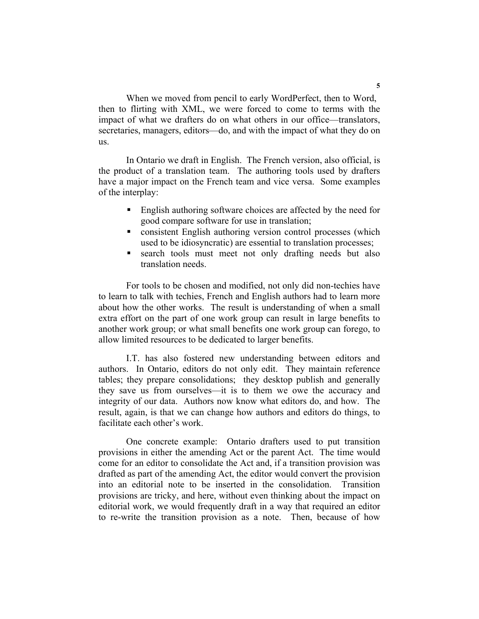When we moved from pencil to early WordPerfect, then to Word, then to flirting with XML, we were forced to come to terms with the impact of what we drafters do on what others in our office—translators, secretaries, managers, editors—do, and with the impact of what they do on us.

 In Ontario we draft in English. The French version, also official, is the product of a translation team. The authoring tools used by drafters have a major impact on the French team and vice versa. Some examples of the interplay:

- **English authoring software choices are affected by the need for** good compare software for use in translation;
- consistent English authoring version control processes (which used to be idiosyncratic) are essential to translation processes;
- search tools must meet not only drafting needs but also translation needs.

 For tools to be chosen and modified, not only did non-techies have to learn to talk with techies, French and English authors had to learn more about how the other works. The result is understanding of when a small extra effort on the part of one work group can result in large benefits to another work group; or what small benefits one work group can forego, to allow limited resources to be dedicated to larger benefits.

 I.T. has also fostered new understanding between editors and authors. In Ontario, editors do not only edit. They maintain reference tables; they prepare consolidations; they desktop publish and generally they save us from ourselves—it is to them we owe the accuracy and integrity of our data. Authors now know what editors do, and how. The result, again, is that we can change how authors and editors do things, to facilitate each other's work.

 One concrete example: Ontario drafters used to put transition provisions in either the amending Act or the parent Act. The time would come for an editor to consolidate the Act and, if a transition provision was drafted as part of the amending Act, the editor would convert the provision into an editorial note to be inserted in the consolidation. Transition provisions are tricky, and here, without even thinking about the impact on editorial work, we would frequently draft in a way that required an editor to re-write the transition provision as a note. Then, because of how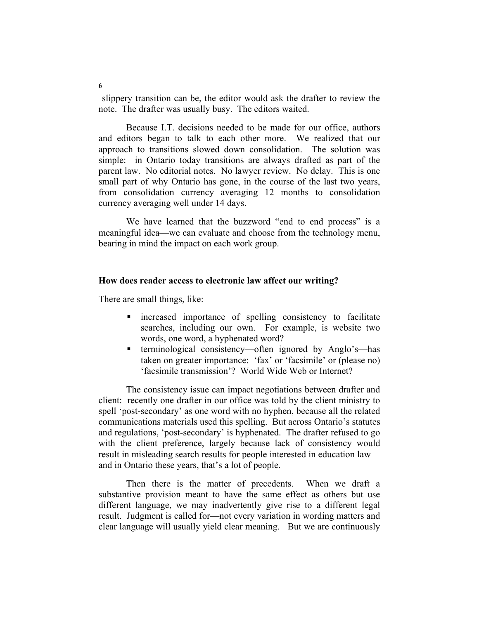slippery transition can be, the editor would ask the drafter to review the note. The drafter was usually busy. The editors waited.

 Because I.T. decisions needed to be made for our office, authors and editors began to talk to each other more. We realized that our approach to transitions slowed down consolidation. The solution was simple: in Ontario today transitions are always drafted as part of the parent law. No editorial notes. No lawyer review. No delay. This is one small part of why Ontario has gone, in the course of the last two years, from consolidation currency averaging 12 months to consolidation currency averaging well under 14 days.

We have learned that the buzzword "end to end process" is a meaningful idea—we can evaluate and choose from the technology menu, bearing in mind the impact on each work group.

## **How does reader access to electronic law affect our writing?**

There are small things, like:

- increased importance of spelling consistency to facilitate searches, including our own. For example, is website two words, one word, a hyphenated word?
- terminological consistency—often ignored by Anglo's—has taken on greater importance: 'fax' or 'facsimile' or (please no) 'facsimile transmission'? World Wide Web or Internet?

 The consistency issue can impact negotiations between drafter and client: recently one drafter in our office was told by the client ministry to spell 'post-secondary' as one word with no hyphen, because all the related communications materials used this spelling. But across Ontario's statutes and regulations, 'post-secondary' is hyphenated. The drafter refused to go with the client preference, largely because lack of consistency would result in misleading search results for people interested in education law and in Ontario these years, that's a lot of people.

 Then there is the matter of precedents. When we draft a substantive provision meant to have the same effect as others but use different language, we may inadvertently give rise to a different legal result. Judgment is called for—not every variation in wording matters and clear language will usually yield clear meaning. But we are continuously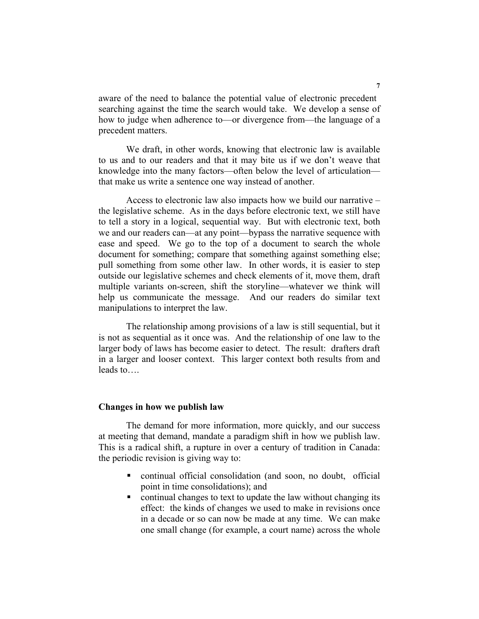aware of the need to balance the potential value of electronic precedent searching against the time the search would take. We develop a sense of how to judge when adherence to—or divergence from—the language of a precedent matters.

 We draft, in other words, knowing that electronic law is available to us and to our readers and that it may bite us if we don't weave that knowledge into the many factors—often below the level of articulation that make us write a sentence one way instead of another.

 Access to electronic law also impacts how we build our narrative – the legislative scheme. As in the days before electronic text, we still have to tell a story in a logical, sequential way. But with electronic text, both we and our readers can—at any point—bypass the narrative sequence with ease and speed. We go to the top of a document to search the whole document for something; compare that something against something else; pull something from some other law. In other words, it is easier to step outside our legislative schemes and check elements of it, move them, draft multiple variants on-screen, shift the storyline—whatever we think will help us communicate the message. And our readers do similar text manipulations to interpret the law.

 The relationship among provisions of a law is still sequential, but it is not as sequential as it once was. And the relationship of one law to the larger body of laws has become easier to detect. The result: drafters draft in a larger and looser context. This larger context both results from and leads to….

#### **Changes in how we publish law**

 The demand for more information, more quickly, and our success at meeting that demand, mandate a paradigm shift in how we publish law. This is a radical shift, a rupture in over a century of tradition in Canada: the periodic revision is giving way to:

- continual official consolidation (and soon, no doubt, official point in time consolidations); and
- continual changes to text to update the law without changing its effect: the kinds of changes we used to make in revisions once in a decade or so can now be made at any time. We can make one small change (for example, a court name) across the whole